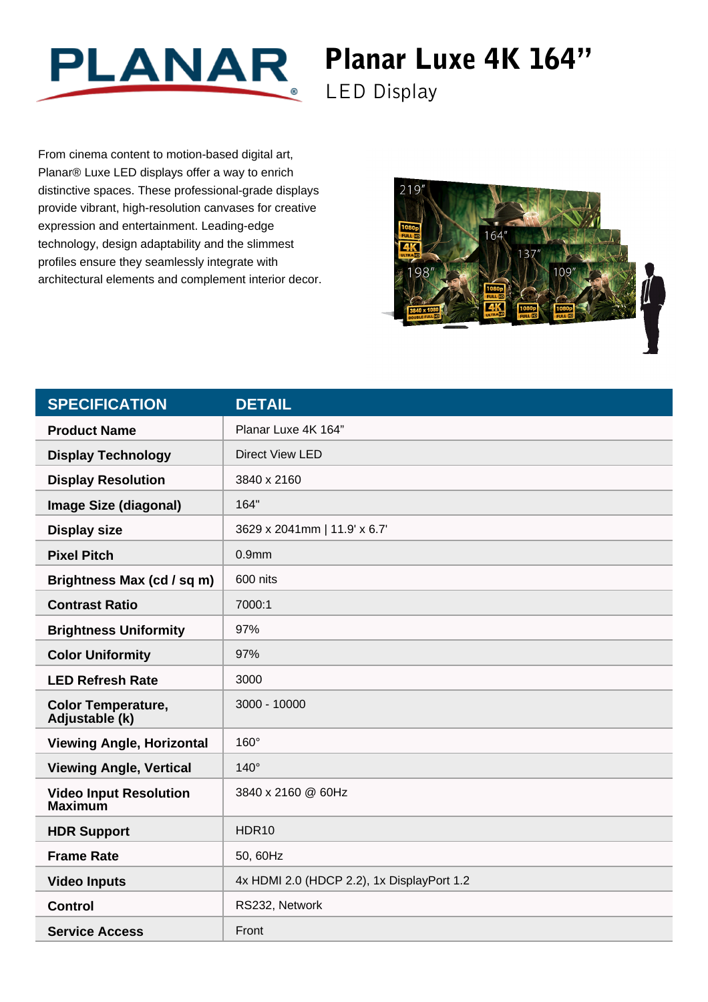

## Planar Luxe 4K 164"

LED Display

From cinema content to motion-based digital art, Planar® Luxe LED displays offer a way to enrich distinctive spaces. These professional-grade displays provide vibrant, high-resolution canvases for creative expression and entertainment. Leading-edge technology, design adaptability and the slimmest profiles ensure they seamlessly integrate with architectural elements and complement interior decor.



| <b>SPECIFICATION</b>                            | <b>DETAIL</b>                              |
|-------------------------------------------------|--------------------------------------------|
| <b>Product Name</b>                             | Planar Luxe 4K 164"                        |
| <b>Display Technology</b>                       | <b>Direct View LED</b>                     |
| <b>Display Resolution</b>                       | 3840 x 2160                                |
| <b>Image Size (diagonal)</b>                    | 164"                                       |
| <b>Display size</b>                             | 3629 x 2041mm   11.9' x 6.7'               |
| <b>Pixel Pitch</b>                              | 0.9 <sub>mm</sub>                          |
| Brightness Max (cd / sq m)                      | 600 nits                                   |
| <b>Contrast Ratio</b>                           | 7000:1                                     |
| <b>Brightness Uniformity</b>                    | 97%                                        |
| <b>Color Uniformity</b>                         | 97%                                        |
| <b>LED Refresh Rate</b>                         | 3000                                       |
| <b>Color Temperature,</b><br>Adjustable (k)     | 3000 - 10000                               |
| <b>Viewing Angle, Horizontal</b>                | $160^\circ$                                |
| <b>Viewing Angle, Vertical</b>                  | $140^\circ$                                |
| <b>Video Input Resolution</b><br><b>Maximum</b> | 3840 x 2160 @ 60Hz                         |
| <b>HDR Support</b>                              | HDR <sub>10</sub>                          |
| <b>Frame Rate</b>                               | 50, 60Hz                                   |
| <b>Video Inputs</b>                             | 4x HDMI 2.0 (HDCP 2.2), 1x DisplayPort 1.2 |
| <b>Control</b>                                  | RS232, Network                             |
| <b>Service Access</b>                           | Front                                      |